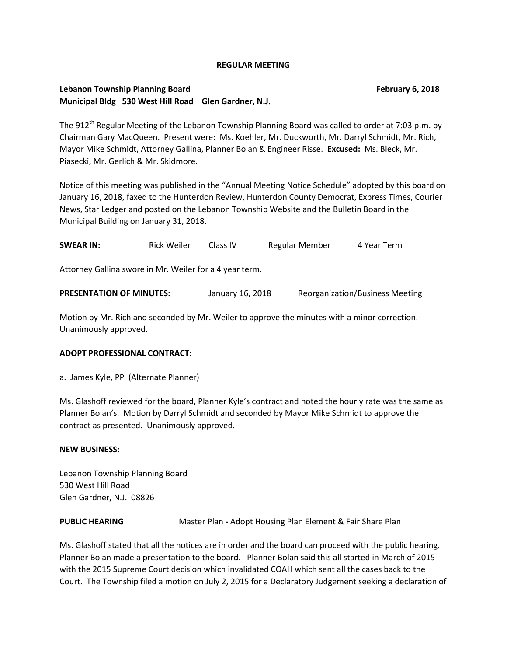#### **REGULAR MEETING**

# **Lebanon Township Planning Board February 6, 2018 Municipal Bldg 530 West Hill Road Glen Gardner, N.J.**

The 912<sup>th</sup> Regular Meeting of the Lebanon Township Planning Board was called to order at 7:03 p.m. by Chairman Gary MacQueen. Present were: Ms. Koehler, Mr. Duckworth, Mr. Darryl Schmidt, Mr. Rich, Mayor Mike Schmidt, Attorney Gallina, Planner Bolan & Engineer Risse. **Excused:** Ms. Bleck, Mr. Piasecki, Mr. Gerlich & Mr. Skidmore.

Notice of this meeting was published in the "Annual Meeting Notice Schedule" adopted by this board on January 16, 2018, faxed to the Hunterdon Review, Hunterdon County Democrat, Express Times, Courier News, Star Ledger and posted on the Lebanon Township Website and the Bulletin Board in the Municipal Building on January 31, 2018.

| <b>SWEAR IN:</b>                                        | <b>Rick Weiler</b> | Class IV         | Regular Member | 4 Year Term                            |
|---------------------------------------------------------|--------------------|------------------|----------------|----------------------------------------|
| Attorney Gallina swore in Mr. Weiler for a 4 year term. |                    |                  |                |                                        |
| <b>PRESENTATION OF MINUTES:</b>                         |                    | January 16, 2018 |                | <b>Reorganization/Business Meeting</b> |

Motion by Mr. Rich and seconded by Mr. Weiler to approve the minutes with a minor correction. Unanimously approved.

### **ADOPT PROFESSIONAL CONTRACT:**

a. James Kyle, PP (Alternate Planner)

Ms. Glashoff reviewed for the board, Planner Kyle's contract and noted the hourly rate was the same as Planner Bolan's. Motion by Darryl Schmidt and seconded by Mayor Mike Schmidt to approve the contract as presented. Unanimously approved.

### **NEW BUSINESS:**

Lebanon Township Planning Board 530 West Hill Road Glen Gardner, N.J. 08826

### **PUBLIC HEARING** Master Plan - Adopt Housing Plan Element & Fair Share Plan

Ms. Glashoff stated that all the notices are in order and the board can proceed with the public hearing. Planner Bolan made a presentation to the board. Planner Bolan said this all started in March of 2015 with the 2015 Supreme Court decision which invalidated COAH which sent all the cases back to the Court. The Township filed a motion on July 2, 2015 for a Declaratory Judgement seeking a declaration of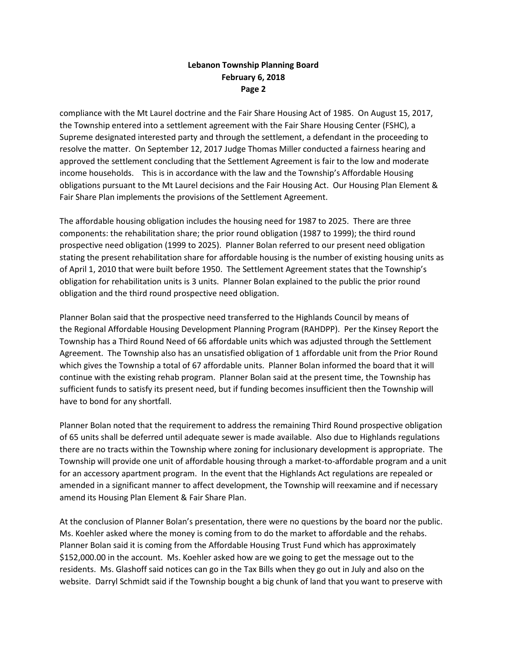compliance with the Mt Laurel doctrine and the Fair Share Housing Act of 1985. On August 15, 2017, the Township entered into a settlement agreement with the Fair Share Housing Center (FSHC), a Supreme designated interested party and through the settlement, a defendant in the proceeding to resolve the matter. On September 12, 2017 Judge Thomas Miller conducted a fairness hearing and approved the settlement concluding that the Settlement Agreement is fair to the low and moderate income households. This is in accordance with the law and the Township's Affordable Housing obligations pursuant to the Mt Laurel decisions and the Fair Housing Act. Our Housing Plan Element & Fair Share Plan implements the provisions of the Settlement Agreement.

The affordable housing obligation includes the housing need for 1987 to 2025. There are three components: the rehabilitation share; the prior round obligation (1987 to 1999); the third round prospective need obligation (1999 to 2025). Planner Bolan referred to our present need obligation stating the present rehabilitation share for affordable housing is the number of existing housing units as of April 1, 2010 that were built before 1950. The Settlement Agreement states that the Township's obligation for rehabilitation units is 3 units. Planner Bolan explained to the public the prior round obligation and the third round prospective need obligation.

Planner Bolan said that the prospective need transferred to the Highlands Council by means of the Regional Affordable Housing Development Planning Program (RAHDPP). Per the Kinsey Report the Township has a Third Round Need of 66 affordable units which was adjusted through the Settlement Agreement. The Township also has an unsatisfied obligation of 1 affordable unit from the Prior Round which gives the Township a total of 67 affordable units. Planner Bolan informed the board that it will continue with the existing rehab program. Planner Bolan said at the present time, the Township has sufficient funds to satisfy its present need, but if funding becomes insufficient then the Township will have to bond for any shortfall.

Planner Bolan noted that the requirement to address the remaining Third Round prospective obligation of 65 units shall be deferred until adequate sewer is made available. Also due to Highlands regulations there are no tracts within the Township where zoning for inclusionary development is appropriate. The Township will provide one unit of affordable housing through a market-to-affordable program and a unit for an accessory apartment program. In the event that the Highlands Act regulations are repealed or amended in a significant manner to affect development, the Township will reexamine and if necessary amend its Housing Plan Element & Fair Share Plan.

At the conclusion of Planner Bolan's presentation, there were no questions by the board nor the public. Ms. Koehler asked where the money is coming from to do the market to affordable and the rehabs. Planner Bolan said it is coming from the Affordable Housing Trust Fund which has approximately \$152,000.00 in the account. Ms. Koehler asked how are we going to get the message out to the residents. Ms. Glashoff said notices can go in the Tax Bills when they go out in July and also on the website. Darryl Schmidt said if the Township bought a big chunk of land that you want to preserve with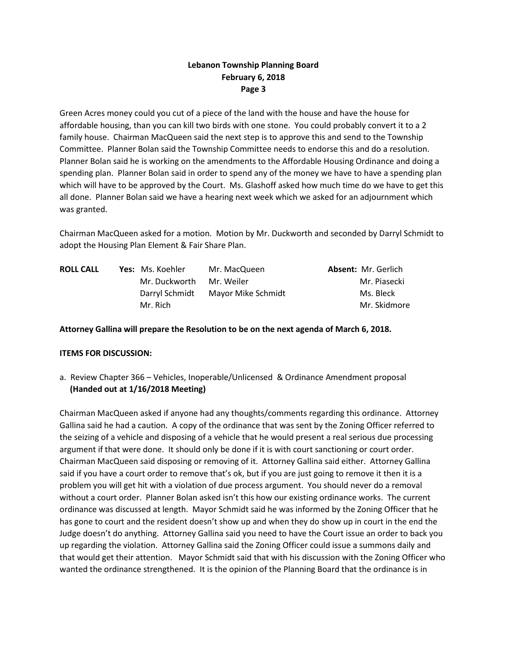Green Acres money could you cut of a piece of the land with the house and have the house for affordable housing, than you can kill two birds with one stone. You could probably convert it to a 2 family house. Chairman MacQueen said the next step is to approve this and send to the Township Committee. Planner Bolan said the Township Committee needs to endorse this and do a resolution. Planner Bolan said he is working on the amendments to the Affordable Housing Ordinance and doing a spending plan. Planner Bolan said in order to spend any of the money we have to have a spending plan which will have to be approved by the Court. Ms. Glashoff asked how much time do we have to get this all done. Planner Bolan said we have a hearing next week which we asked for an adjournment which was granted.

Chairman MacQueen asked for a motion. Motion by Mr. Duckworth and seconded by Darryl Schmidt to adopt the Housing Plan Element & Fair Share Plan.

| <b>ROLL CALL</b> | <b>Yes:</b> Ms. Koehler | Mr. MacQueen       | <b>Absent: Mr. Gerlich</b> |
|------------------|-------------------------|--------------------|----------------------------|
|                  | Mr. Duckworth           | Mr. Weiler         | Mr. Piasecki               |
|                  | Darryl Schmidt          | Mayor Mike Schmidt | Ms. Bleck                  |
|                  | Mr. Rich                |                    | Mr. Skidmore               |

### **Attorney Gallina will prepare the Resolution to be on the next agenda of March 6, 2018.**

### **ITEMS FOR DISCUSSION:**

a. Review Chapter 366 – Vehicles, Inoperable/Unlicensed & Ordinance Amendment proposal **(Handed out at 1/16/2018 Meeting)**

Chairman MacQueen asked if anyone had any thoughts/comments regarding this ordinance. Attorney Gallina said he had a caution. A copy of the ordinance that was sent by the Zoning Officer referred to the seizing of a vehicle and disposing of a vehicle that he would present a real serious due processing argument if that were done. It should only be done if it is with court sanctioning or court order. Chairman MacQueen said disposing or removing of it. Attorney Gallina said either. Attorney Gallina said if you have a court order to remove that's ok, but if you are just going to remove it then it is a problem you will get hit with a violation of due process argument. You should never do a removal without a court order. Planner Bolan asked isn't this how our existing ordinance works. The current ordinance was discussed at length. Mayor Schmidt said he was informed by the Zoning Officer that he has gone to court and the resident doesn't show up and when they do show up in court in the end the Judge doesn't do anything. Attorney Gallina said you need to have the Court issue an order to back you up regarding the violation. Attorney Gallina said the Zoning Officer could issue a summons daily and that would get their attention. Mayor Schmidt said that with his discussion with the Zoning Officer who wanted the ordinance strengthened. It is the opinion of the Planning Board that the ordinance is in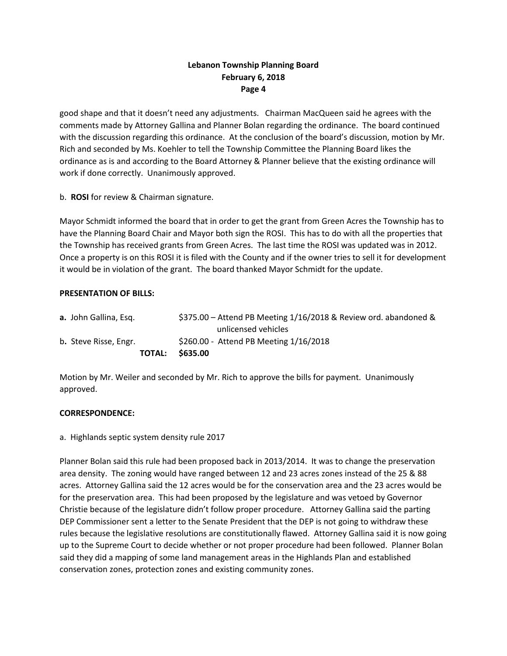good shape and that it doesn't need any adjustments. Chairman MacQueen said he agrees with the comments made by Attorney Gallina and Planner Bolan regarding the ordinance. The board continued with the discussion regarding this ordinance. At the conclusion of the board's discussion, motion by Mr. Rich and seconded by Ms. Koehler to tell the Township Committee the Planning Board likes the ordinance as is and according to the Board Attorney & Planner believe that the existing ordinance will work if done correctly. Unanimously approved.

b. **ROSI** for review & Chairman signature.

Mayor Schmidt informed the board that in order to get the grant from Green Acres the Township has to have the Planning Board Chair and Mayor both sign the ROSI. This has to do with all the properties that the Township has received grants from Green Acres. The last time the ROSI was updated was in 2012. Once a property is on this ROSI it is filed with the County and if the owner tries to sell it for development it would be in violation of the grant. The board thanked Mayor Schmidt for the update.

### **PRESENTATION OF BILLS:**

|                              | <b>TOTAL:</b> | \$635.00                                                          |
|------------------------------|---------------|-------------------------------------------------------------------|
| b. Steve Risse, Engr.        |               | \$260.00 - Attend PB Meeting 1/16/2018                            |
|                              |               | unlicensed vehicles                                               |
| <b>a.</b> John Gallina, Esq. |               | $$375.00 -$ Attend PB Meeting 1/16/2018 & Review ord. abandoned & |

Motion by Mr. Weiler and seconded by Mr. Rich to approve the bills for payment. Unanimously approved.

### **CORRESPONDENCE:**

### a.Highlands septic system density rule 2017

Planner Bolan said this rule had been proposed back in 2013/2014. It was to change the preservation area density. The zoning would have ranged between 12 and 23 acres zones instead of the 25 & 88 acres. Attorney Gallina said the 12 acres would be for the conservation area and the 23 acres would be for the preservation area. This had been proposed by the legislature and was vetoed by Governor Christie because of the legislature didn't follow proper procedure. Attorney Gallina said the parting DEP Commissioner sent a letter to the Senate President that the DEP is not going to withdraw these rules because the legislative resolutions are constitutionally flawed. Attorney Gallina said it is now going up to the Supreme Court to decide whether or not proper procedure had been followed. Planner Bolan said they did a mapping of some land management areas in the Highlands Plan and established conservation zones, protection zones and existing community zones.